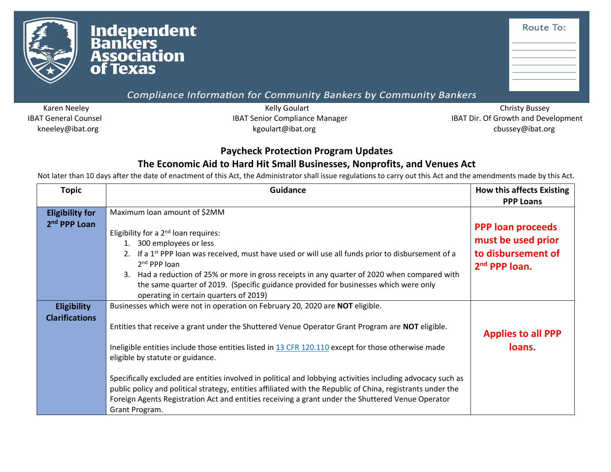

## Compliance Information for Community Bankers by Community Bankers

kneeley@ibat.org cbussey@ibat.org kgoulart@ibat.org cbussey@ibat.org chussey@ibat.org

Karen Neeley **Kelly Goulart** Kelly Goulart Christy Bussey Christy Bussey Christy Bussey IBAT General Counsel **IBAT Senior Compliance Manager** IBAT Senior Compliance Manager IBAT Dir. Of Growth and Development

## **Paycheck Protection Program Updates**

## **The Economic Aid to Hard Hit Small Businesses, Nonprofits, and Venues Act**

Not later than 10 days after the date of enactment of this Act, the Administrator shall issue regulations to carry out this Act and the amendments made by this Act.

| <b>Topic</b>                                       | <b>Guidance</b>                                                                                                                                                                                                                                                                                                                                                                                                                             | <b>How this affects Existing</b>               |
|----------------------------------------------------|---------------------------------------------------------------------------------------------------------------------------------------------------------------------------------------------------------------------------------------------------------------------------------------------------------------------------------------------------------------------------------------------------------------------------------------------|------------------------------------------------|
|                                                    |                                                                                                                                                                                                                                                                                                                                                                                                                                             | <b>PPP Loans</b>                               |
| <b>Eligibility for</b><br>2 <sup>nd</sup> PPP Loan | Maximum loan amount of \$2MM<br>Eligibility for a 2 <sup>nd</sup> loan requires:                                                                                                                                                                                                                                                                                                                                                            | <b>PPP loan proceeds</b><br>must be used prior |
|                                                    | 1. 300 employees or less<br>2. If a 1 <sup>st</sup> PPP loan was received, must have used or will use all funds prior to disbursement of a<br>2 <sup>nd</sup> PPP loan<br>3. Had a reduction of 25% or more in gross receipts in any quarter of 2020 when compared with<br>the same quarter of 2019. (Specific guidance provided for businesses which were only<br>operating in certain quarters of 2019)                                   | to disbursement of<br>$2nd$ PPP loan.          |
| <b>Eligibility</b><br><b>Clarifications</b>        | Businesses which were not in operation on February 20, 2020 are NOT eligible.<br>Entities that receive a grant under the Shuttered Venue Operator Grant Program are NOT eligible.<br>Ineligible entities include those entities listed in 13 CFR 120.110 except for those otherwise made<br>eligible by statute or guidance.<br>Specifically excluded are entities involved in political and lobbying activities including advocacy such as | <b>Applies to all PPP</b><br>loans.            |
|                                                    | public policy and political strategy, entities affiliated with the Republic of China, registrants under the<br>Foreign Agents Registration Act and entities receiving a grant under the Shuttered Venue Operator<br>Grant Program.                                                                                                                                                                                                          |                                                |

Route To: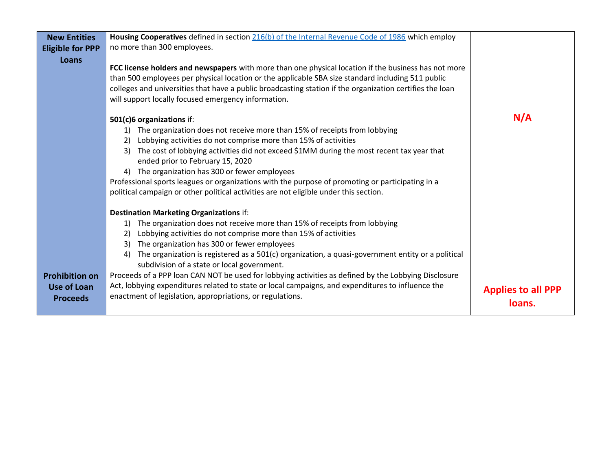| <b>New Entities</b>     | Housing Cooperatives defined in section 216(b) of the Internal Revenue Code of 1986 which employ         |                           |
|-------------------------|----------------------------------------------------------------------------------------------------------|---------------------------|
| <b>Eligible for PPP</b> | no more than 300 employees.                                                                              |                           |
| Loans                   |                                                                                                          |                           |
|                         | FCC license holders and newspapers with more than one physical location if the business has not more     |                           |
|                         | than 500 employees per physical location or the applicable SBA size standard including 511 public        |                           |
|                         | colleges and universities that have a public broadcasting station if the organization certifies the loan |                           |
|                         | will support locally focused emergency information.                                                      |                           |
|                         |                                                                                                          |                           |
|                         | 501(c)6 organizations if:                                                                                | N/A                       |
|                         | The organization does not receive more than 15% of receipts from lobbying                                |                           |
|                         | Lobbying activities do not comprise more than 15% of activities                                          |                           |
|                         | The cost of lobbying activities did not exceed \$1MM during the most recent tax year that<br>3)          |                           |
|                         | ended prior to February 15, 2020                                                                         |                           |
|                         |                                                                                                          |                           |
|                         | The organization has 300 or fewer employees                                                              |                           |
|                         | Professional sports leagues or organizations with the purpose of promoting or participating in a         |                           |
|                         | political campaign or other political activities are not eligible under this section.                    |                           |
|                         | <b>Destination Marketing Organizations if:</b>                                                           |                           |
|                         | The organization does not receive more than 15% of receipts from lobbying<br>1)                          |                           |
|                         | Lobbying activities do not comprise more than 15% of activities<br>2)                                    |                           |
|                         | The organization has 300 or fewer employees<br>3)                                                        |                           |
|                         | The organization is registered as a 501(c) organization, a quasi-government entity or a political<br>4)  |                           |
|                         | subdivision of a state or local government.                                                              |                           |
| <b>Prohibition on</b>   | Proceeds of a PPP loan CAN NOT be used for lobbying activities as defined by the Lobbying Disclosure     |                           |
|                         |                                                                                                          |                           |
| <b>Use of Loan</b>      | Act, lobbying expenditures related to state or local campaigns, and expenditures to influence the        | <b>Applies to all PPP</b> |
| <b>Proceeds</b>         | enactment of legislation, appropriations, or regulations.                                                | loans.                    |
|                         |                                                                                                          |                           |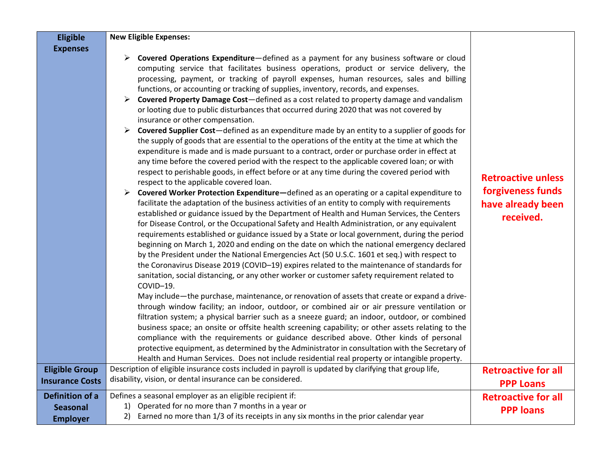| <b>Eligible</b>                                              | <b>New Eligible Expenses:</b>                                                                                                                                                                                                                                                                                                                                                                                                                                                                                                                                                                                                                                                                                                                                                                                                                                                                                                                                                                                                                                                                                                                                                                                                                                                                                                                                                                                                                                                                                                                                                                                                                                                                                                                                                                                                                                                                                                                                                                                                                                                                                                                                                                                                                                                                                                                                                                                                                                                                                                                                                                                                                                                                                                                                |                                                                                  |
|--------------------------------------------------------------|--------------------------------------------------------------------------------------------------------------------------------------------------------------------------------------------------------------------------------------------------------------------------------------------------------------------------------------------------------------------------------------------------------------------------------------------------------------------------------------------------------------------------------------------------------------------------------------------------------------------------------------------------------------------------------------------------------------------------------------------------------------------------------------------------------------------------------------------------------------------------------------------------------------------------------------------------------------------------------------------------------------------------------------------------------------------------------------------------------------------------------------------------------------------------------------------------------------------------------------------------------------------------------------------------------------------------------------------------------------------------------------------------------------------------------------------------------------------------------------------------------------------------------------------------------------------------------------------------------------------------------------------------------------------------------------------------------------------------------------------------------------------------------------------------------------------------------------------------------------------------------------------------------------------------------------------------------------------------------------------------------------------------------------------------------------------------------------------------------------------------------------------------------------------------------------------------------------------------------------------------------------------------------------------------------------------------------------------------------------------------------------------------------------------------------------------------------------------------------------------------------------------------------------------------------------------------------------------------------------------------------------------------------------------------------------------------------------------------------------------------------------|----------------------------------------------------------------------------------|
| <b>Expenses</b>                                              | Covered Operations Expenditure-defined as a payment for any business software or cloud<br>computing service that facilitates business operations, product or service delivery, the<br>processing, payment, or tracking of payroll expenses, human resources, sales and billing<br>functions, or accounting or tracking of supplies, inventory, records, and expenses.<br><b>Covered Property Damage Cost</b> —defined as a cost related to property damage and vandalism<br>or looting due to public disturbances that occurred during 2020 that was not covered by<br>insurance or other compensation.<br>Covered Supplier Cost-defined as an expenditure made by an entity to a supplier of goods for<br>the supply of goods that are essential to the operations of the entity at the time at which the<br>expenditure is made and is made pursuant to a contract, order or purchase order in effect at<br>any time before the covered period with the respect to the applicable covered loan; or with<br>respect to perishable goods, in effect before or at any time during the covered period with<br>respect to the applicable covered loan.<br>Covered Worker Protection Expenditure-defined as an operating or a capital expenditure to<br>facilitate the adaptation of the business activities of an entity to comply with requirements<br>established or guidance issued by the Department of Health and Human Services, the Centers<br>for Disease Control, or the Occupational Safety and Health Administration, or any equivalent<br>requirements established or guidance issued by a State or local government, during the period<br>beginning on March 1, 2020 and ending on the date on which the national emergency declared<br>by the President under the National Emergencies Act (50 U.S.C. 1601 et seq.) with respect to<br>the Coronavirus Disease 2019 (COVID-19) expires related to the maintenance of standards for<br>sanitation, social distancing, or any other worker or customer safety requirement related to<br>COVID-19.<br>May include—the purchase, maintenance, or renovation of assets that create or expand a drive-<br>through window facility; an indoor, outdoor, or combined air or air pressure ventilation or<br>filtration system; a physical barrier such as a sneeze guard; an indoor, outdoor, or combined<br>business space; an onsite or offsite health screening capability; or other assets relating to the<br>compliance with the requirements or guidance described above. Other kinds of personal<br>protective equipment, as determined by the Administrator in consultation with the Secretary of<br>Health and Human Services. Does not include residential real property or intangible property. | <b>Retroactive unless</b><br>forgiveness funds<br>have already been<br>received. |
| <b>Eligible Group</b><br><b>Insurance Costs</b>              | Description of eligible insurance costs included in payroll is updated by clarifying that group life,<br>disability, vision, or dental insurance can be considered.                                                                                                                                                                                                                                                                                                                                                                                                                                                                                                                                                                                                                                                                                                                                                                                                                                                                                                                                                                                                                                                                                                                                                                                                                                                                                                                                                                                                                                                                                                                                                                                                                                                                                                                                                                                                                                                                                                                                                                                                                                                                                                                                                                                                                                                                                                                                                                                                                                                                                                                                                                                          | <b>Retroactive for all</b><br><b>PPP Loans</b>                                   |
| <b>Definition of a</b><br><b>Seasonal</b><br><b>Employer</b> | Defines a seasonal employer as an eligible recipient if:<br>1) Operated for no more than 7 months in a year or<br>2) Earned no more than 1/3 of its receipts in any six months in the prior calendar year                                                                                                                                                                                                                                                                                                                                                                                                                                                                                                                                                                                                                                                                                                                                                                                                                                                                                                                                                                                                                                                                                                                                                                                                                                                                                                                                                                                                                                                                                                                                                                                                                                                                                                                                                                                                                                                                                                                                                                                                                                                                                                                                                                                                                                                                                                                                                                                                                                                                                                                                                    | <b>Retroactive for all</b><br><b>PPP loans</b>                                   |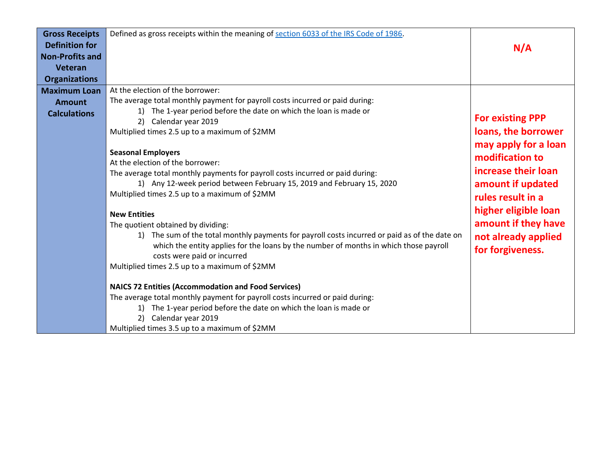| <b>Gross Receipts</b>  | Defined as gross receipts within the meaning of section 6033 of the IRS Code of 1986.            |                         |
|------------------------|--------------------------------------------------------------------------------------------------|-------------------------|
| <b>Definition for</b>  |                                                                                                  | N/A                     |
| <b>Non-Profits and</b> |                                                                                                  |                         |
| <b>Veteran</b>         |                                                                                                  |                         |
| <b>Organizations</b>   |                                                                                                  |                         |
| <b>Maximum Loan</b>    | At the election of the borrower:                                                                 |                         |
| <b>Amount</b>          | The average total monthly payment for payroll costs incurred or paid during:                     |                         |
| <b>Calculations</b>    | 1) The 1-year period before the date on which the loan is made or                                |                         |
|                        | Calendar year 2019<br>2)                                                                         | <b>For existing PPP</b> |
|                        | Multiplied times 2.5 up to a maximum of \$2MM                                                    | loans, the borrower     |
|                        |                                                                                                  | may apply for a loan    |
|                        | <b>Seasonal Employers</b>                                                                        | modification to         |
|                        | At the election of the borrower:                                                                 | increase their loan     |
|                        | The average total monthly payments for payroll costs incurred or paid during:                    |                         |
|                        | 1) Any 12-week period between February 15, 2019 and February 15, 2020                            | amount if updated       |
|                        | Multiplied times 2.5 up to a maximum of \$2MM                                                    | rules result in a       |
|                        | <b>New Entities</b>                                                                              | higher eligible loan    |
|                        | The quotient obtained by dividing:                                                               | amount if they have     |
|                        | The sum of the total monthly payments for payroll costs incurred or paid as of the date on<br>1) | not already applied     |
|                        | which the entity applies for the loans by the number of months in which those payroll            |                         |
|                        | costs were paid or incurred                                                                      | for forgiveness.        |
|                        | Multiplied times 2.5 up to a maximum of \$2MM                                                    |                         |
|                        |                                                                                                  |                         |
|                        | <b>NAICS 72 Entities (Accommodation and Food Services)</b>                                       |                         |
|                        | The average total monthly payment for payroll costs incurred or paid during:                     |                         |
|                        | 1) The 1-year period before the date on which the loan is made or                                |                         |
|                        | Calendar year 2019<br>2)                                                                         |                         |
|                        | Multiplied times 3.5 up to a maximum of \$2MM                                                    |                         |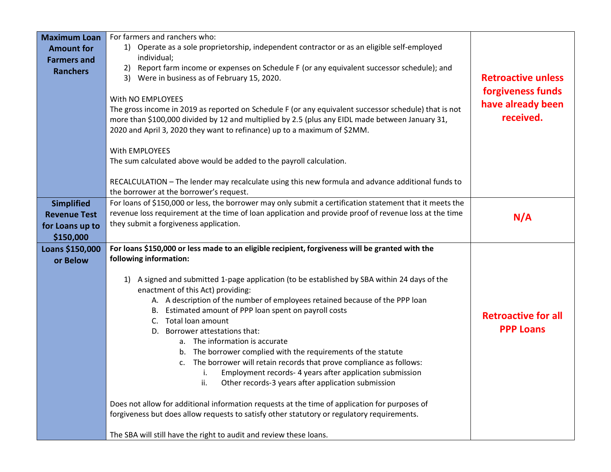| <b>Maximum Loan</b> | For farmers and ranchers who:                                                                            |                            |
|---------------------|----------------------------------------------------------------------------------------------------------|----------------------------|
| <b>Amount for</b>   | 1) Operate as a sole proprietorship, independent contractor or as an eligible self-employed              |                            |
| <b>Farmers and</b>  | individual;                                                                                              |                            |
| <b>Ranchers</b>     | Report farm income or expenses on Schedule F (or any equivalent successor schedule); and<br>2)           |                            |
|                     | 3) Were in business as of February 15, 2020.                                                             | <b>Retroactive unless</b>  |
|                     | With NO EMPLOYEES                                                                                        | forgiveness funds          |
|                     | The gross income in 2019 as reported on Schedule F (or any equivalent successor schedule) that is not    | have already been          |
|                     | more than \$100,000 divided by 12 and multiplied by 2.5 (plus any EIDL made between January 31,          | received.                  |
|                     | 2020 and April 3, 2020 they want to refinance) up to a maximum of \$2MM.                                 |                            |
|                     |                                                                                                          |                            |
|                     | With EMPLOYEES                                                                                           |                            |
|                     | The sum calculated above would be added to the payroll calculation.                                      |                            |
|                     |                                                                                                          |                            |
|                     | RECALCULATION - The lender may recalculate using this new formula and advance additional funds to        |                            |
|                     | the borrower at the borrower's request.                                                                  |                            |
| <b>Simplified</b>   | For loans of \$150,000 or less, the borrower may only submit a certification statement that it meets the |                            |
| <b>Revenue Test</b> | revenue loss requirement at the time of loan application and provide proof of revenue loss at the time   |                            |
| for Loans up to     | they submit a forgiveness application.                                                                   | N/A                        |
| \$150,000           |                                                                                                          |                            |
| Loans \$150,000     | For loans \$150,000 or less made to an eligible recipient, forgiveness will be granted with the          |                            |
| or Below            | following information:                                                                                   |                            |
|                     |                                                                                                          |                            |
|                     | A signed and submitted 1-page application (to be established by SBA within 24 days of the<br>1)          |                            |
|                     | enactment of this Act) providing:                                                                        |                            |
|                     | A. A description of the number of employees retained because of the PPP loan                             |                            |
|                     | B. Estimated amount of PPP loan spent on payroll costs                                                   |                            |
|                     | Total loan amount<br>C.                                                                                  | <b>Retroactive for all</b> |
|                     | D. Borrower attestations that:                                                                           | <b>PPP Loans</b>           |
|                     | a. The information is accurate                                                                           |                            |
|                     | b. The borrower complied with the requirements of the statute                                            |                            |
|                     | The borrower will retain records that prove compliance as follows:<br>c.                                 |                            |
|                     | Employment records- 4 years after application submission<br>i.                                           |                            |
|                     | Other records-3 years after application submission<br>ii.                                                |                            |
|                     |                                                                                                          |                            |
|                     | Does not allow for additional information requests at the time of application for purposes of            |                            |
|                     | forgiveness but does allow requests to satisfy other statutory or regulatory requirements.               |                            |
|                     | The SBA will still have the right to audit and review these loans.                                       |                            |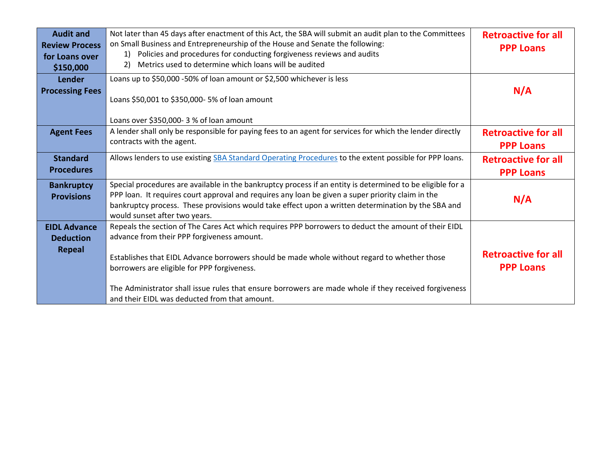| <b>Audit and</b><br><b>Review Process</b><br>for Loans over<br>\$150,000 | Not later than 45 days after enactment of this Act, the SBA will submit an audit plan to the Committees<br>on Small Business and Entrepreneurship of the House and Senate the following:<br>Policies and procedures for conducting forgiveness reviews and audits<br>1)<br>Metrics used to determine which loans will be audited<br>2)                                                                                                                      | <b>Retroactive for all</b><br><b>PPP Loans</b> |
|--------------------------------------------------------------------------|-------------------------------------------------------------------------------------------------------------------------------------------------------------------------------------------------------------------------------------------------------------------------------------------------------------------------------------------------------------------------------------------------------------------------------------------------------------|------------------------------------------------|
| Lender<br><b>Processing Fees</b>                                         | Loans up to \$50,000 -50% of loan amount or \$2,500 whichever is less<br>Loans \$50,001 to \$350,000- 5% of loan amount                                                                                                                                                                                                                                                                                                                                     | N/A                                            |
| <b>Agent Fees</b>                                                        | Loans over \$350,000-3 % of loan amount<br>A lender shall only be responsible for paying fees to an agent for services for which the lender directly<br>contracts with the agent.                                                                                                                                                                                                                                                                           | <b>Retroactive for all</b><br><b>PPP Loans</b> |
| <b>Standard</b><br><b>Procedures</b>                                     | Allows lenders to use existing SBA Standard Operating Procedures to the extent possible for PPP loans.                                                                                                                                                                                                                                                                                                                                                      | <b>Retroactive for all</b><br><b>PPP Loans</b> |
| <b>Bankruptcy</b><br><b>Provisions</b>                                   | Special procedures are available in the bankruptcy process if an entity is determined to be eligible for a<br>PPP loan. It requires court approval and requires any loan be given a super priority claim in the<br>bankruptcy process. These provisions would take effect upon a written determination by the SBA and<br>would sunset after two years.                                                                                                      | N/A                                            |
| <b>EIDL Advance</b><br><b>Deduction</b><br><b>Repeal</b>                 | Repeals the section of The Cares Act which requires PPP borrowers to deduct the amount of their EIDL<br>advance from their PPP forgiveness amount.<br>Establishes that EIDL Advance borrowers should be made whole without regard to whether those<br>borrowers are eligible for PPP forgiveness.<br>The Administrator shall issue rules that ensure borrowers are made whole if they received forgiveness<br>and their EIDL was deducted from that amount. | <b>Retroactive for all</b><br><b>PPP Loans</b> |